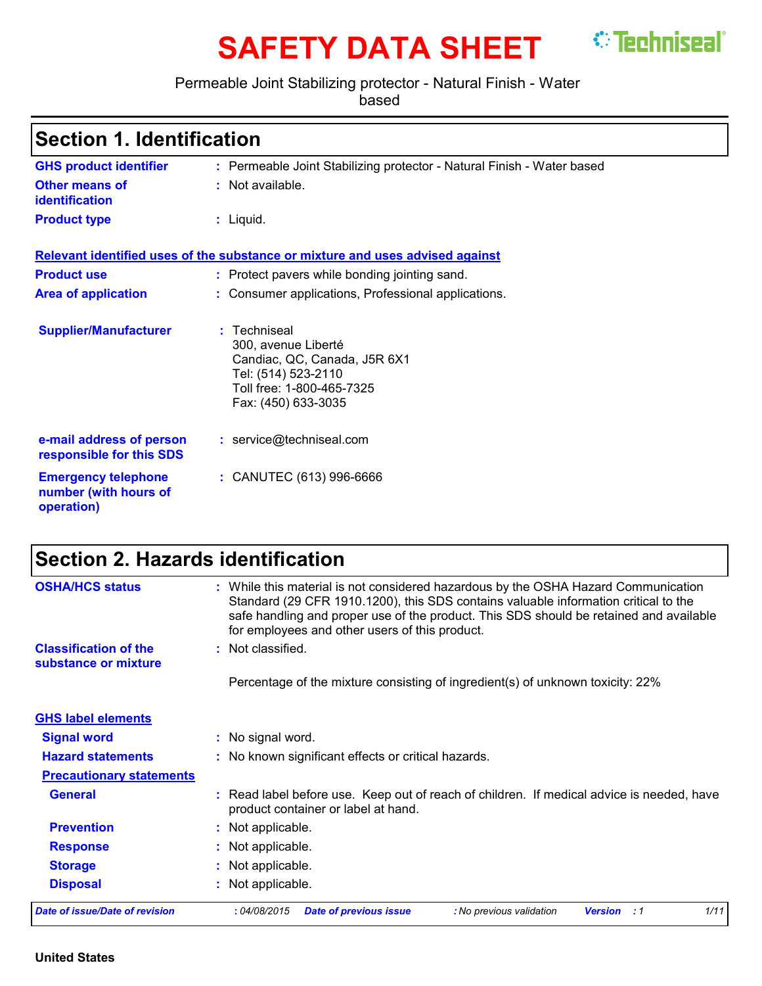# **SAFETY DATA SHEET** <sup>*S*</sup> Techniseal<sup>®</sup>

Permeable Joint Stabilizing protector - Natural Finish - Water

based

| <b>Section 1. Identification</b> |  |
|----------------------------------|--|
|----------------------------------|--|

| <b>GHS product identifier</b>                                     | : Permeable Joint Stabilizing protector - Natural Finish - Water based                                                                         |
|-------------------------------------------------------------------|------------------------------------------------------------------------------------------------------------------------------------------------|
| Other means of<br>identification                                  | : Not available.                                                                                                                               |
| <b>Product type</b>                                               | : Liquid.                                                                                                                                      |
|                                                                   | Relevant identified uses of the substance or mixture and uses advised against                                                                  |
| <b>Product use</b>                                                | : Protect pavers while bonding jointing sand.                                                                                                  |
| <b>Area of application</b>                                        | : Consumer applications, Professional applications.                                                                                            |
| <b>Supplier/Manufacturer</b>                                      | : Techniseal<br>300, avenue Liberté<br>Candiac, QC, Canada, J5R 6X1<br>Tel: (514) 523-2110<br>Toll free: 1-800-465-7325<br>Fax: (450) 633-3035 |
| e-mail address of person<br>responsible for this SDS              | : service@techniseal.com                                                                                                                       |
| <b>Emergency telephone</b><br>number (with hours of<br>operation) | : CANUTEC (613) 996-6666                                                                                                                       |

# **Section 2. Hazards identification**

| <b>OSHA/HCS status</b>                               | : While this material is not considered hazardous by the OSHA Hazard Communication<br>Standard (29 CFR 1910.1200), this SDS contains valuable information critical to the<br>safe handling and proper use of the product. This SDS should be retained and available<br>for employees and other users of this product. |
|------------------------------------------------------|-----------------------------------------------------------------------------------------------------------------------------------------------------------------------------------------------------------------------------------------------------------------------------------------------------------------------|
| <b>Classification of the</b><br>substance or mixture | : Not classified.                                                                                                                                                                                                                                                                                                     |
|                                                      | Percentage of the mixture consisting of ingredient(s) of unknown toxicity: 22%                                                                                                                                                                                                                                        |
| <b>GHS label elements</b>                            |                                                                                                                                                                                                                                                                                                                       |
| <b>Signal word</b>                                   | : No signal word.                                                                                                                                                                                                                                                                                                     |
| <b>Hazard statements</b>                             | : No known significant effects or critical hazards.                                                                                                                                                                                                                                                                   |
| <b>Precautionary statements</b>                      |                                                                                                                                                                                                                                                                                                                       |
| <b>General</b>                                       | : Read label before use. Keep out of reach of children. If medical advice is needed, have<br>product container or label at hand.                                                                                                                                                                                      |
| <b>Prevention</b>                                    | : Not applicable.                                                                                                                                                                                                                                                                                                     |
| <b>Response</b>                                      | : Not applicable.                                                                                                                                                                                                                                                                                                     |
| <b>Storage</b>                                       | : Not applicable.                                                                                                                                                                                                                                                                                                     |
| <b>Disposal</b>                                      | : Not applicable.                                                                                                                                                                                                                                                                                                     |
| <b>Date of issue/Date of revision</b>                | :04/08/2015<br><b>Date of previous issue</b><br>1/11<br>: No previous validation<br><b>Version</b> : 1                                                                                                                                                                                                                |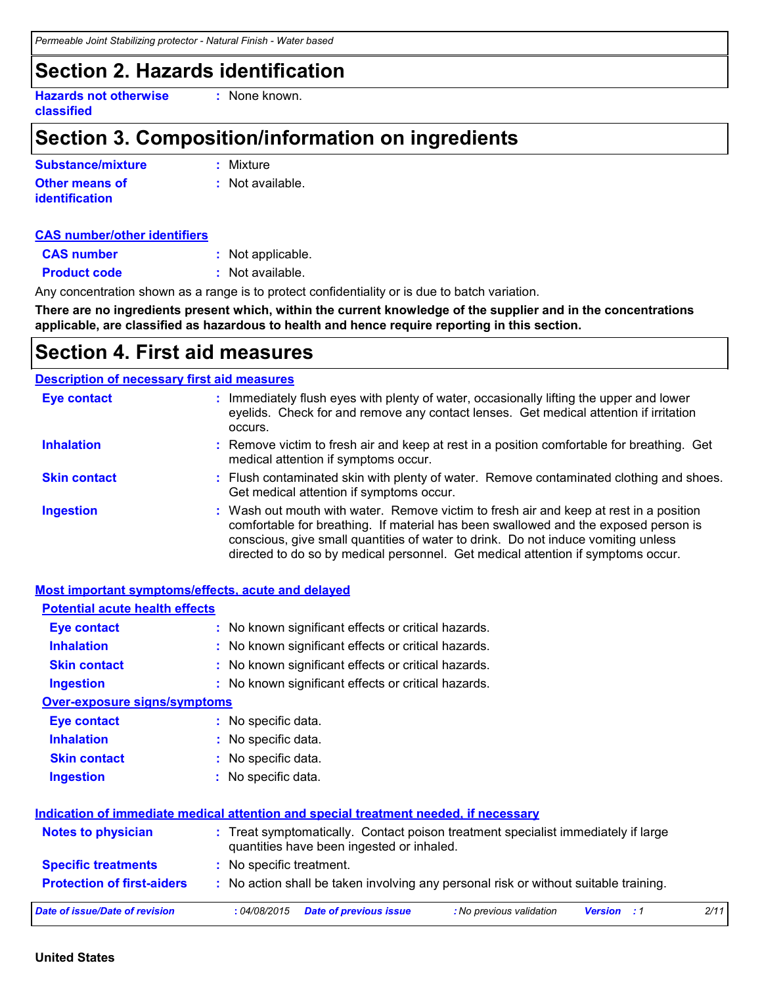### **Section 2. Hazards identification**

**Hazards not otherwise classified**

**:** None known.

### **Section 3. Composition/information on ingredients**

| Substance/mixture     | : Mixture        |
|-----------------------|------------------|
| <b>Other means of</b> | : Not available. |
| <b>identification</b> |                  |

#### **CAS number/other identifiers**

| <b>CAS number</b>   | : Not applicable. |
|---------------------|-------------------|
| <b>Product code</b> | : Not available.  |

Any concentration shown as a range is to protect confidentiality or is due to batch variation.

**There are no ingredients present which, within the current knowledge of the supplier and in the concentrations applicable, are classified as hazardous to health and hence require reporting in this section.**

### **Section 4. First aid measures**

#### **Description of necessary first aid measures**

| <b>Eye contact</b>  | : Immediately flush eyes with plenty of water, occasionally lifting the upper and lower<br>eyelids. Check for and remove any contact lenses. Get medical attention if irritation<br>occurs.                                                                                                                                                            |
|---------------------|--------------------------------------------------------------------------------------------------------------------------------------------------------------------------------------------------------------------------------------------------------------------------------------------------------------------------------------------------------|
| <b>Inhalation</b>   | : Remove victim to fresh air and keep at rest in a position comfortable for breathing. Get<br>medical attention if symptoms occur.                                                                                                                                                                                                                     |
| <b>Skin contact</b> | : Flush contaminated skin with plenty of water. Remove contaminated clothing and shoes.<br>Get medical attention if symptoms occur.                                                                                                                                                                                                                    |
| <b>Ingestion</b>    | : Wash out mouth with water. Remove victim to fresh air and keep at rest in a position<br>comfortable for breathing. If material has been swallowed and the exposed person is<br>conscious, give small quantities of water to drink. Do not induce vomiting unless<br>directed to do so by medical personnel. Get medical attention if symptoms occur. |

| <b>Most important symptoms/effects, acute and delayed</b> |                                                                                                                                |  |
|-----------------------------------------------------------|--------------------------------------------------------------------------------------------------------------------------------|--|
| <b>Potential acute health effects</b>                     |                                                                                                                                |  |
| <b>Eye contact</b>                                        | : No known significant effects or critical hazards.                                                                            |  |
| <b>Inhalation</b>                                         | : No known significant effects or critical hazards.                                                                            |  |
| <b>Skin contact</b>                                       | : No known significant effects or critical hazards.                                                                            |  |
| <b>Ingestion</b>                                          | : No known significant effects or critical hazards.                                                                            |  |
| <b>Over-exposure signs/symptoms</b>                       |                                                                                                                                |  |
| <b>Eye contact</b>                                        | : No specific data.                                                                                                            |  |
| <b>Inhalation</b>                                         | : No specific data.                                                                                                            |  |
| <b>Skin contact</b>                                       | : No specific data.                                                                                                            |  |
| <b>Ingestion</b>                                          | : No specific data.                                                                                                            |  |
|                                                           | Indication of immediate medical attention and special treatment needed, if necessary                                           |  |
| <b>Notes to physician</b>                                 | : Treat symptomatically. Contact poison treatment specialist immediately if large<br>quantities have been ingested or inhaled. |  |
| <b>Specific treatments</b>                                | : No specific treatment.                                                                                                       |  |
| <b>Protection of first-aiders</b>                         | : No action shall be taken involving any personal risk or without suitable training.                                           |  |
| <b>Date of issue/Date of revision</b>                     | :04/08/2015<br>2/11<br><b>Date of previous issue</b><br>: No previous validation<br><b>Version</b> : 1                         |  |

#### **United States**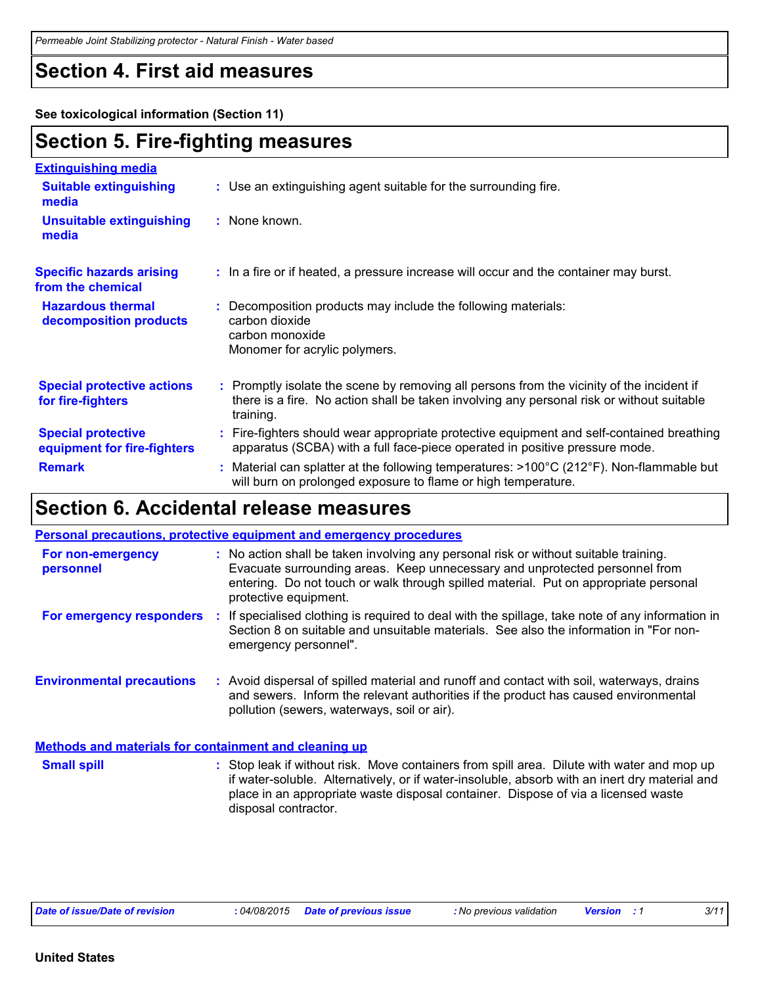### **Section 4. First aid measures**

**See toxicological information (Section 11)**

### **Section 5. Fire-fighting measures**

| <b>Extinguishing media</b>                               |                                                                                                                                                                                                     |
|----------------------------------------------------------|-----------------------------------------------------------------------------------------------------------------------------------------------------------------------------------------------------|
| <b>Suitable extinguishing</b><br>media                   | : Use an extinguishing agent suitable for the surrounding fire.                                                                                                                                     |
| <b>Unsuitable extinguishing</b><br>media                 | : None known.                                                                                                                                                                                       |
| <b>Specific hazards arising</b><br>from the chemical     | : In a fire or if heated, a pressure increase will occur and the container may burst.                                                                                                               |
| <b>Hazardous thermal</b><br>decomposition products       | : Decomposition products may include the following materials:<br>carbon dioxide<br>carbon monoxide<br>Monomer for acrylic polymers.                                                                 |
| <b>Special protective actions</b><br>for fire-fighters   | : Promptly isolate the scene by removing all persons from the vicinity of the incident if<br>there is a fire. No action shall be taken involving any personal risk or without suitable<br>training. |
| <b>Special protective</b><br>equipment for fire-fighters | : Fire-fighters should wear appropriate protective equipment and self-contained breathing<br>apparatus (SCBA) with a full face-piece operated in positive pressure mode.                            |
| <b>Remark</b>                                            | : Material can splatter at the following temperatures: $>100^{\circ}C(212^{\circ}F)$ . Non-flammable but<br>will burn on prolonged exposure to flame or high temperature.                           |

## **Section 6. Accidental release measures**

|                                                       | <b>Personal precautions, protective equipment and emergency procedures</b>                                                                                                                                                                                                                               |  |
|-------------------------------------------------------|----------------------------------------------------------------------------------------------------------------------------------------------------------------------------------------------------------------------------------------------------------------------------------------------------------|--|
| For non-emergency<br>personnel                        | : No action shall be taken involving any personal risk or without suitable training.<br>Evacuate surrounding areas. Keep unnecessary and unprotected personnel from<br>entering. Do not touch or walk through spilled material. Put on appropriate personal<br>protective equipment.                     |  |
| For emergency responders                              | : If specialised clothing is required to deal with the spillage, take note of any information in<br>Section 8 on suitable and unsuitable materials. See also the information in "For non-<br>emergency personnel".                                                                                       |  |
| <b>Environmental precautions</b>                      | : Avoid dispersal of spilled material and runoff and contact with soil, waterways, drains<br>and sewers. Inform the relevant authorities if the product has caused environmental<br>pollution (sewers, waterways, soil or air).                                                                          |  |
| Methods and materials for containment and cleaning up |                                                                                                                                                                                                                                                                                                          |  |
| <b>Small spill</b>                                    | : Stop leak if without risk. Move containers from spill area. Dilute with water and mop up<br>if water-soluble. Alternatively, or if water-insoluble, absorb with an inert dry material and<br>place in an appropriate waste disposal container. Dispose of via a licensed waste<br>disposal contractor. |  |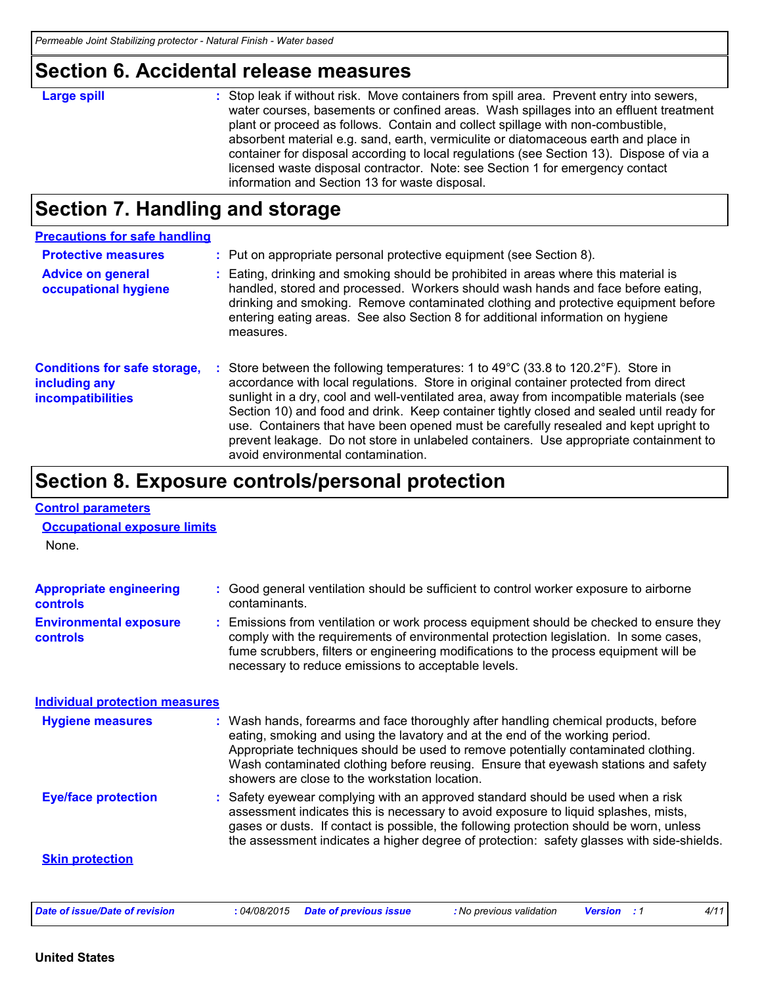### **Section 6. Accidental release measures**

| <b>Large spill</b> | : Stop leak if without risk. Move containers from spill area. Prevent entry into sewers,<br>water courses, basements or confined areas. Wash spillages into an effluent treatment<br>plant or proceed as follows. Contain and collect spillage with non-combustible,<br>absorbent material e.g. sand, earth, vermiculite or diatomaceous earth and place in<br>container for disposal according to local regulations (see Section 13). Dispose of via a<br>licensed waste disposal contractor. Note: see Section 1 for emergency contact<br>information and Section 13 for waste disposal. |
|--------------------|--------------------------------------------------------------------------------------------------------------------------------------------------------------------------------------------------------------------------------------------------------------------------------------------------------------------------------------------------------------------------------------------------------------------------------------------------------------------------------------------------------------------------------------------------------------------------------------------|
|                    |                                                                                                                                                                                                                                                                                                                                                                                                                                                                                                                                                                                            |

### **Section 7. Handling and storage**

| <b>Precautions for safe handling</b>                                             |    |                                                                                                                                                                                                                                                                                                                                                                                                                                                                                                                                                                                                            |
|----------------------------------------------------------------------------------|----|------------------------------------------------------------------------------------------------------------------------------------------------------------------------------------------------------------------------------------------------------------------------------------------------------------------------------------------------------------------------------------------------------------------------------------------------------------------------------------------------------------------------------------------------------------------------------------------------------------|
| <b>Protective measures</b>                                                       |    | : Put on appropriate personal protective equipment (see Section 8).                                                                                                                                                                                                                                                                                                                                                                                                                                                                                                                                        |
| <b>Advice on general</b><br>occupational hygiene                                 |    | : Eating, drinking and smoking should be prohibited in areas where this material is<br>handled, stored and processed. Workers should wash hands and face before eating,<br>drinking and smoking. Remove contaminated clothing and protective equipment before<br>entering eating areas. See also Section 8 for additional information on hygiene<br>measures.                                                                                                                                                                                                                                              |
| <b>Conditions for safe storage,</b><br>including any<br><b>incompatibilities</b> | ÷. | Store between the following temperatures: 1 to $49^{\circ}$ C (33.8 to 120.2 $^{\circ}$ F). Store in<br>accordance with local regulations. Store in original container protected from direct<br>sunlight in a dry, cool and well-ventilated area, away from incompatible materials (see<br>Section 10) and food and drink. Keep container tightly closed and sealed until ready for<br>use. Containers that have been opened must be carefully resealed and kept upright to<br>prevent leakage. Do not store in unlabeled containers. Use appropriate containment to<br>avoid environmental contamination. |

# **Section 8. Exposure controls/personal protection**

| <b>Control parameters</b>                    |                                                                                                                                                                                                                                                                                                                                                                                                   |  |
|----------------------------------------------|---------------------------------------------------------------------------------------------------------------------------------------------------------------------------------------------------------------------------------------------------------------------------------------------------------------------------------------------------------------------------------------------------|--|
| <b>Occupational exposure limits</b><br>None. |                                                                                                                                                                                                                                                                                                                                                                                                   |  |
|                                              |                                                                                                                                                                                                                                                                                                                                                                                                   |  |
| <b>Appropriate engineering</b><br>controls   | : Good general ventilation should be sufficient to control worker exposure to airborne<br>contaminants.                                                                                                                                                                                                                                                                                           |  |
| <b>Environmental exposure</b><br>controls    | : Emissions from ventilation or work process equipment should be checked to ensure they<br>comply with the requirements of environmental protection legislation. In some cases,<br>fume scrubbers, filters or engineering modifications to the process equipment will be<br>necessary to reduce emissions to acceptable levels.                                                                   |  |
| <b>Individual protection measures</b>        |                                                                                                                                                                                                                                                                                                                                                                                                   |  |
| <b>Hygiene measures</b>                      | : Wash hands, forearms and face thoroughly after handling chemical products, before<br>eating, smoking and using the lavatory and at the end of the working period.<br>Appropriate techniques should be used to remove potentially contaminated clothing.<br>Wash contaminated clothing before reusing. Ensure that eyewash stations and safety<br>showers are close to the workstation location. |  |
| <b>Eye/face protection</b>                   | Safety eyewear complying with an approved standard should be used when a risk<br>assessment indicates this is necessary to avoid exposure to liquid splashes, mists,<br>gases or dusts. If contact is possible, the following protection should be worn, unless<br>the assessment indicates a higher degree of protection: safety glasses with side-shields.                                      |  |
| <b>Skin protection</b>                       |                                                                                                                                                                                                                                                                                                                                                                                                   |  |
| <b>Date of issue/Date of revision</b>        | : 04/08/2015<br><b>Date of previous issue</b><br>: No previous validation<br>4/11<br><b>Version</b> : 1                                                                                                                                                                                                                                                                                           |  |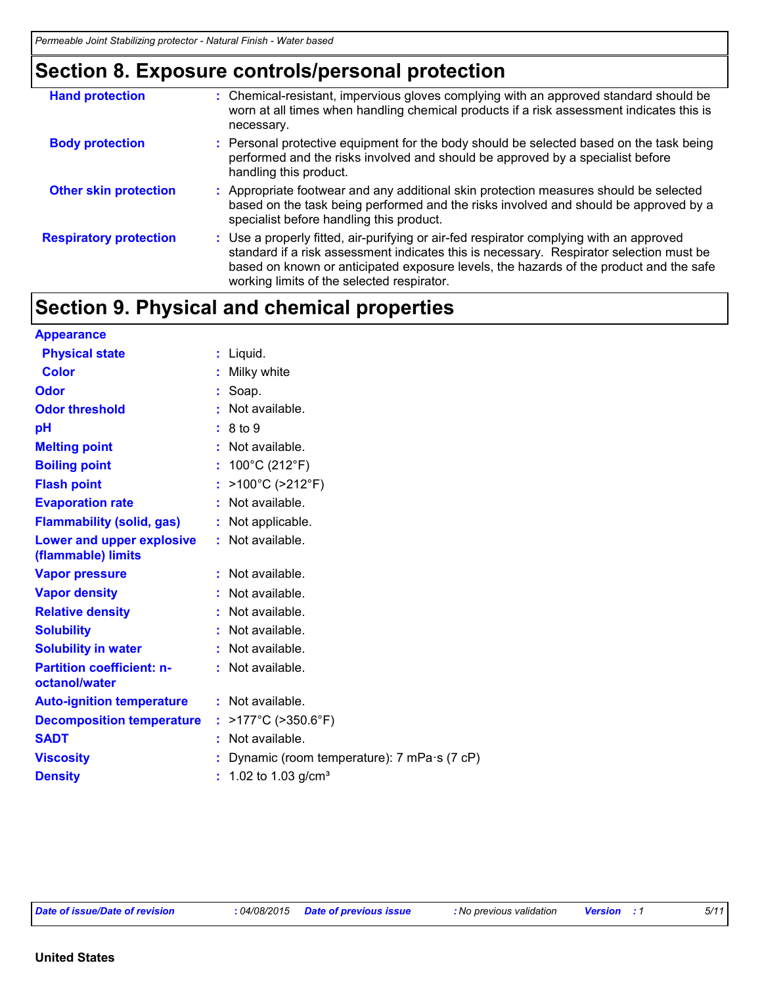### **Section 8. Exposure controls/personal protection**

| <b>Hand protection</b>        | : Chemical-resistant, impervious gloves complying with an approved standard should be<br>worn at all times when handling chemical products if a risk assessment indicates this is<br>necessary.                                                                                                                            |
|-------------------------------|----------------------------------------------------------------------------------------------------------------------------------------------------------------------------------------------------------------------------------------------------------------------------------------------------------------------------|
| <b>Body protection</b>        | : Personal protective equipment for the body should be selected based on the task being<br>performed and the risks involved and should be approved by a specialist before<br>handling this product.                                                                                                                        |
| <b>Other skin protection</b>  | : Appropriate footwear and any additional skin protection measures should be selected<br>based on the task being performed and the risks involved and should be approved by a<br>specialist before handling this product.                                                                                                  |
| <b>Respiratory protection</b> | : Use a properly fitted, air-purifying or air-fed respirator complying with an approved<br>standard if a risk assessment indicates this is necessary. Respirator selection must be<br>based on known or anticipated exposure levels, the hazards of the product and the safe<br>working limits of the selected respirator. |

# **Section 9. Physical and chemical properties**

| <b>Appearance</b>                                 |                                            |
|---------------------------------------------------|--------------------------------------------|
| <b>Physical state</b>                             | : Liquid.                                  |
| <b>Color</b>                                      | : Milky white                              |
| Odor                                              | $:$ Soap.                                  |
| <b>Odor threshold</b>                             | Not available.                             |
| pH                                                | : 8 to 9                                   |
| <b>Melting point</b>                              | $:$ Not available.                         |
| <b>Boiling point</b>                              | : $100^{\circ}$ C (212 $^{\circ}$ F)       |
| <b>Flash point</b>                                | >100°C (>212°F)<br>t.                      |
| <b>Evaporation rate</b>                           | Not available.                             |
| <b>Flammability (solid, gas)</b>                  | : Not applicable.                          |
| Lower and upper explosive<br>(flammable) limits   | : Not available.                           |
| <b>Vapor pressure</b>                             | $:$ Not available.                         |
| <b>Vapor density</b>                              | Not available.                             |
| <b>Relative density</b>                           | Not available.                             |
| <b>Solubility</b>                                 | $:$ Not available.                         |
| <b>Solubility in water</b>                        | $:$ Not available.                         |
| <b>Partition coefficient: n-</b><br>octanol/water | : Not available.                           |
| <b>Auto-ignition temperature</b>                  | $:$ Not available.                         |
| <b>Decomposition temperature</b>                  | $>177^{\circ}$ C ( $>350.6^{\circ}$ F)     |
| <b>SADT</b>                                       | Not available.                             |
| <b>Viscosity</b>                                  | Dynamic (room temperature): 7 mPa·s (7 cP) |
| <b>Density</b>                                    | $: 1.02$ to 1.03 g/cm <sup>3</sup>         |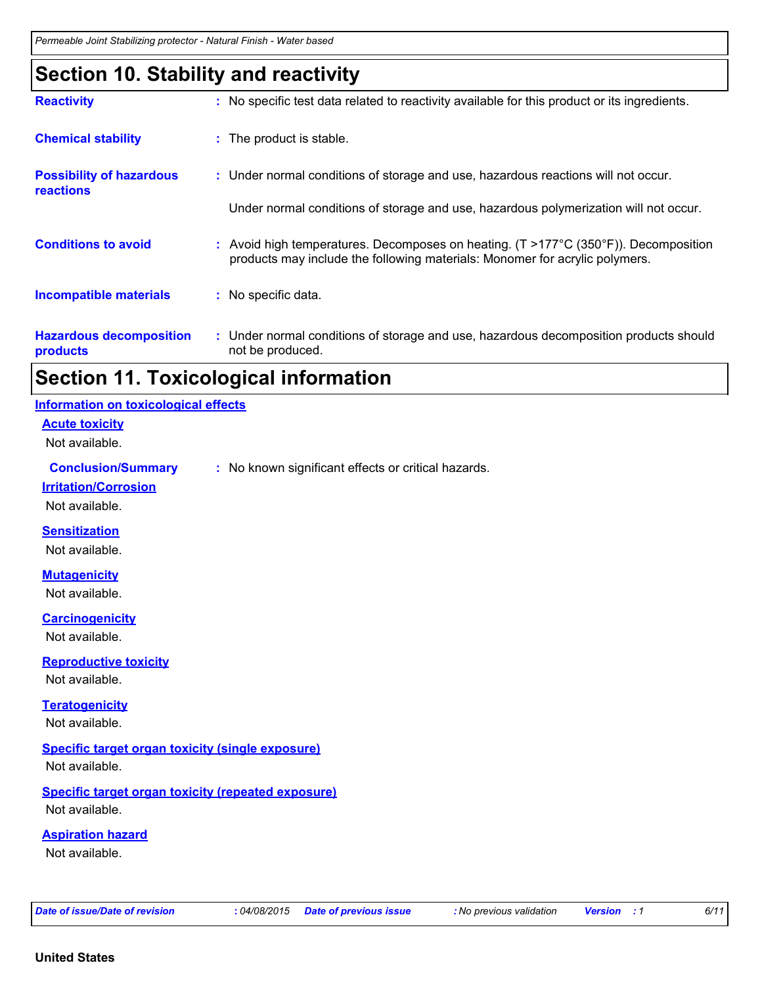### **Section 10. Stability and reactivity**

| <b>Reactivity</b>                                   | : No specific test data related to reactivity available for this product or its ingredients.                                                                                         |
|-----------------------------------------------------|--------------------------------------------------------------------------------------------------------------------------------------------------------------------------------------|
| <b>Chemical stability</b>                           | : The product is stable.                                                                                                                                                             |
| <b>Possibility of hazardous</b><br><b>reactions</b> | : Under normal conditions of storage and use, hazardous reactions will not occur.                                                                                                    |
|                                                     | Under normal conditions of storage and use, hazardous polymerization will not occur.                                                                                                 |
| <b>Conditions to avoid</b>                          | : Avoid high temperatures. Decomposes on heating. $(T > 177^{\circ}C (350^{\circ}F))$ . Decomposition<br>products may include the following materials: Monomer for acrylic polymers. |
| <b>Incompatible materials</b>                       | : No specific data.                                                                                                                                                                  |
| <b>Hazardous decomposition</b><br>products          | : Under normal conditions of storage and use, hazardous decomposition products should<br>not be produced.                                                                            |

### **Section 11. Toxicological information**

| Information on toxicological effects |  |  |  |  |
|--------------------------------------|--|--|--|--|
|--------------------------------------|--|--|--|--|

**Acute toxicity**

Not available.

#### **Conclusion/Summary :** No known significant effects or critical hazards.

**Irritation/Corrosion**

Not available.

#### **Sensitization**

Not available.

#### **Mutagenicity**

Not available.

**Carcinogenicity**

Not available.

#### **Reproductive toxicity**

Not available.

#### **Teratogenicity**

Not available.

#### **Specific target organ toxicity (single exposure)**

Not available.

#### **Specific target organ toxicity (repeated exposure)** Not available.

**Aspiration hazard**

Not available.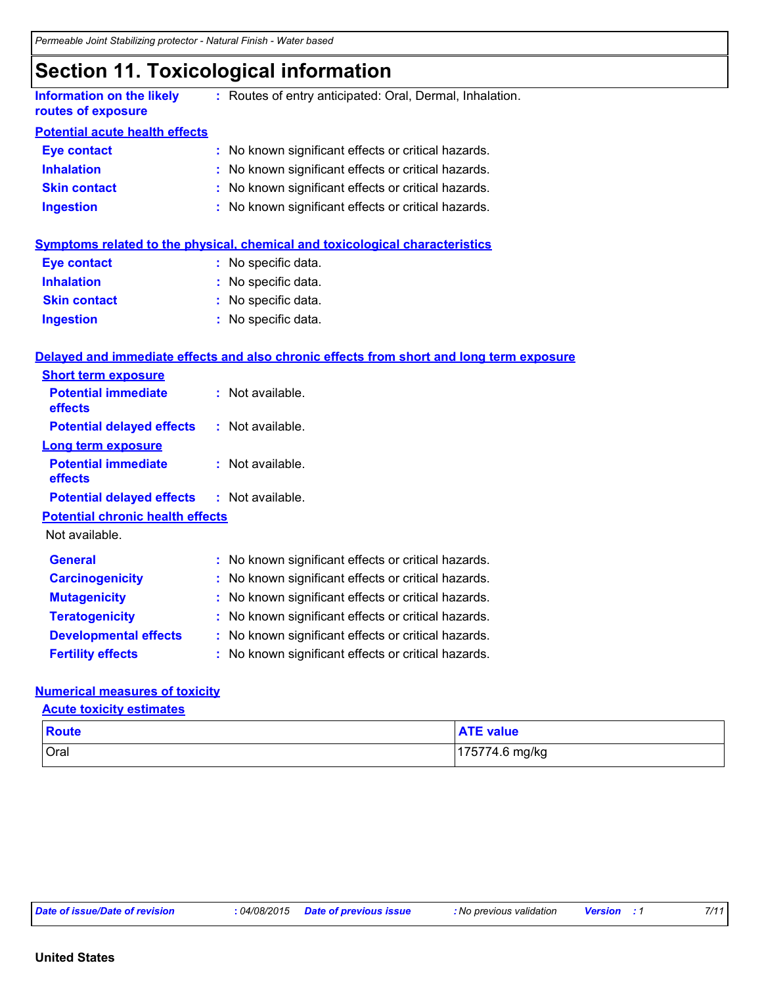### **Section 11. Toxicological information**

| <b>Information on the likely</b><br>routes of exposure | : Routes of entry anticipated: Oral, Dermal, Inhalation. |
|--------------------------------------------------------|----------------------------------------------------------|
| <b>Potential acute health effects</b>                  |                                                          |
| <b>Eye contact</b>                                     | : No known significant effects or critical hazards.      |
| <b>Inhalation</b>                                      | : No known significant effects or critical hazards.      |
| <b>Skin contact</b>                                    | : No known significant effects or critical hazards.      |
| <b>Ingestion</b>                                       | : No known significant effects or critical hazards.      |

|                     | Symptoms related to the physical, chemical and toxicological characteristics |
|---------------------|------------------------------------------------------------------------------|
| <b>Eye contact</b>  | : No specific data.                                                          |
| <b>Inhalation</b>   | : No specific data.                                                          |
| <b>Skin contact</b> | : No specific data.                                                          |
| <b>Ingestion</b>    | : No specific data.                                                          |

#### **Delayed and immediate effects and also chronic effects from short and long term exposure**

| <b>Short term exposure</b>              |    |                                                     |
|-----------------------------------------|----|-----------------------------------------------------|
| <b>Potential immediate</b><br>effects   |    | : Not available.                                    |
| <b>Potential delayed effects</b>        |    | $:$ Not available.                                  |
| Long term exposure                      |    |                                                     |
| <b>Potential immediate</b><br>effects   |    | $:$ Not available.                                  |
| <b>Potential delayed effects</b>        |    | : Not available.                                    |
| <b>Potential chronic health effects</b> |    |                                                     |
| Not available.                          |    |                                                     |
| <b>General</b>                          |    | : No known significant effects or critical hazards. |
| <b>Carcinogenicity</b>                  |    | : No known significant effects or critical hazards. |
| <b>Mutagenicity</b>                     |    | : No known significant effects or critical hazards. |
| <b>Teratogenicity</b>                   |    | No known significant effects or critical hazards.   |
| <b>Developmental effects</b>            | ÷. | No known significant effects or critical hazards.   |
| <b>Fertility effects</b>                |    | No known significant effects or critical hazards.   |

#### **Numerical measures of toxicity**

**Acute toxicity estimates**

| Route | <b>ATE value</b> |
|-------|------------------|
| Oral  | 175774.6 mg/kg   |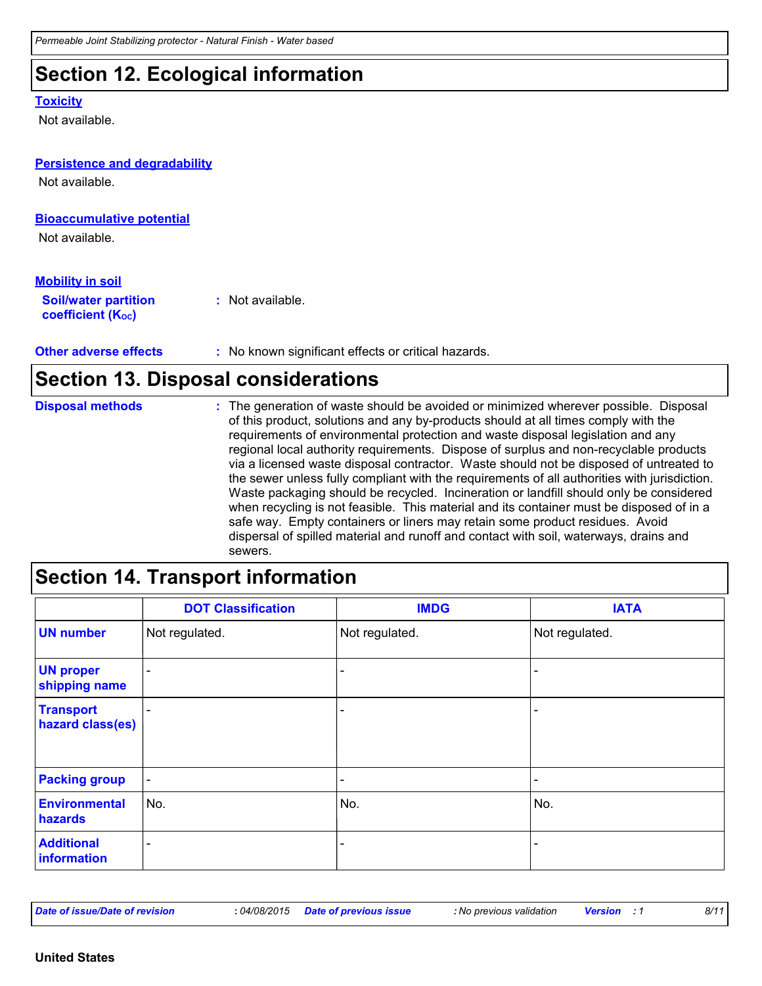### **Section 12. Ecological information**

#### **Toxicity**

Not available.

# **Persistence and degradability**

Not available.

#### **Bioaccumulative potential**

Not available.

#### **Mobility in soil**

**Soil/water partition coefficient (Koc) :** Not available.

**Other adverse effects** : No known significant effects or critical hazards.

### **Section 13. Disposal considerations**

The generation of waste should be avoided or minimized wherever possible. Disposal of this product, solutions and any by-products should at all times comply with the requirements of environmental protection and waste disposal legislation and any regional local authority requirements. Dispose of surplus and non-recyclable products via a licensed waste disposal contractor. Waste should not be disposed of untreated to the sewer unless fully compliant with the requirements of all authorities with jurisdiction. Waste packaging should be recycled. Incineration or landfill should only be considered when recycling is not feasible. This material and its container must be disposed of in a safe way. Empty containers or liners may retain some product residues. Avoid dispersal of spilled material and runoff and contact with soil, waterways, drains and sewers. **Disposal methods :**

### **Section 14. Transport information**

|                                      | <b>DOT Classification</b> | <b>IMDG</b>              | <b>IATA</b>              |
|--------------------------------------|---------------------------|--------------------------|--------------------------|
| <b>UN number</b>                     | Not regulated.            | Not regulated.           | Not regulated.           |
| <b>UN proper</b><br>shipping name    | ۰                         |                          |                          |
| <b>Transport</b><br>hazard class(es) | -                         |                          | ۰                        |
| <b>Packing group</b>                 | $\blacksquare$            | $\overline{\phantom{0}}$ | $\overline{\phantom{0}}$ |
| Environmental<br>hazards             | No.                       | No.                      | No.                      |
| <b>Additional</b><br>information     | $\overline{\phantom{0}}$  |                          |                          |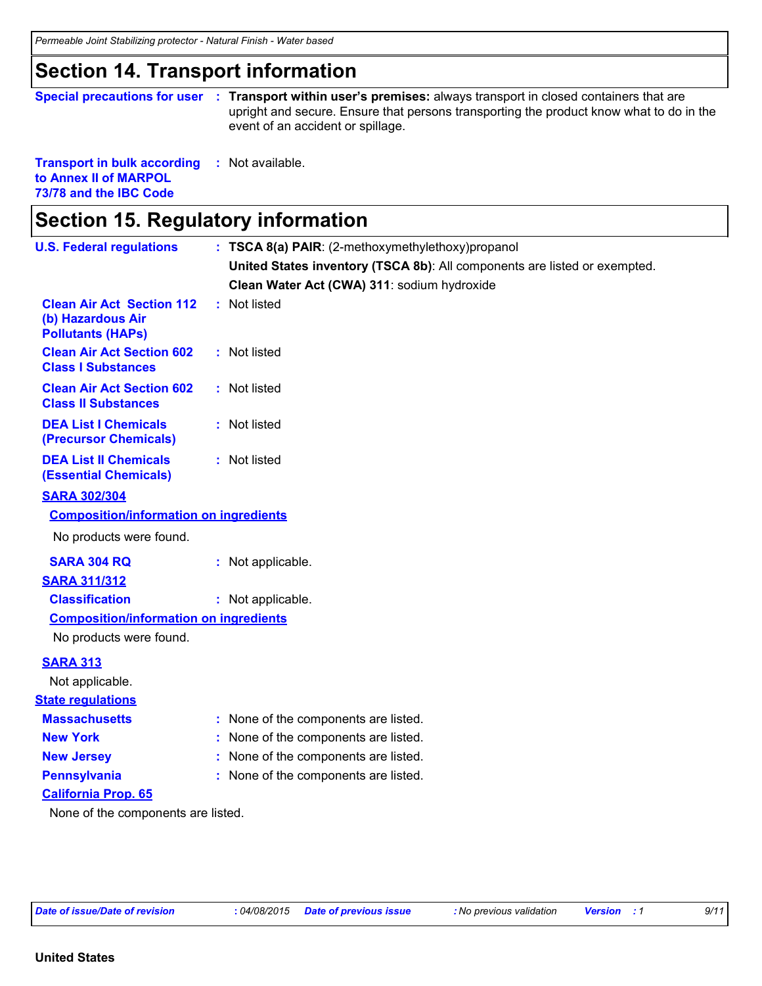### **Section 14. Transport information**

| Special precautions for user :                      | <b>Transport within user's premises:</b> always transport in closed containers that are<br>upright and secure. Ensure that persons transporting the product know what to do in the<br>event of an accident or spillage. |
|-----------------------------------------------------|-------------------------------------------------------------------------------------------------------------------------------------------------------------------------------------------------------------------------|
| <b>Transport in bulk according : Not available.</b> |                                                                                                                                                                                                                         |

**to Annex II of MARPOL 73/78 and the IBC Code**

# **Section 15. Regulatory information**

| <b>U.S. Federal regulations</b>                                                   | : TSCA 8(a) PAIR: (2-methoxymethylethoxy)propanol                         |
|-----------------------------------------------------------------------------------|---------------------------------------------------------------------------|
|                                                                                   | United States inventory (TSCA 8b): All components are listed or exempted. |
|                                                                                   | Clean Water Act (CWA) 311: sodium hydroxide                               |
| <b>Clean Air Act Section 112</b><br>(b) Hazardous Air<br><b>Pollutants (HAPs)</b> | : Not listed                                                              |
| <b>Clean Air Act Section 602</b><br><b>Class I Substances</b>                     | : Not listed                                                              |
| <b>Clean Air Act Section 602</b><br><b>Class II Substances</b>                    | : Not listed                                                              |
| <b>DEA List I Chemicals</b><br>(Precursor Chemicals)                              | : Not listed                                                              |
| <b>DEA List II Chemicals</b><br><b>(Essential Chemicals)</b>                      | : Not listed                                                              |
| <b>SARA 302/304</b>                                                               |                                                                           |
| <b>Composition/information on ingredients</b>                                     |                                                                           |
| No products were found.                                                           |                                                                           |
| <b>SARA 304 RQ</b>                                                                | : Not applicable.                                                         |
| <b>SARA 311/312</b>                                                               |                                                                           |
| <b>Classification</b>                                                             | : Not applicable.                                                         |
| <b>Composition/information on ingredients</b>                                     |                                                                           |
| No products were found.                                                           |                                                                           |
| <b>SARA 313</b>                                                                   |                                                                           |
| Not applicable.                                                                   |                                                                           |
| <b>State regulations</b>                                                          |                                                                           |
| <b>Massachusetts</b>                                                              | : None of the components are listed.                                      |
| <b>New York</b>                                                                   | None of the components are listed.                                        |
| <b>New Jersey</b>                                                                 | None of the components are listed.                                        |
| <b>Pennsylvania</b>                                                               | : None of the components are listed.                                      |
| <b>California Prop. 65</b>                                                        |                                                                           |
| None of the components are listed.                                                |                                                                           |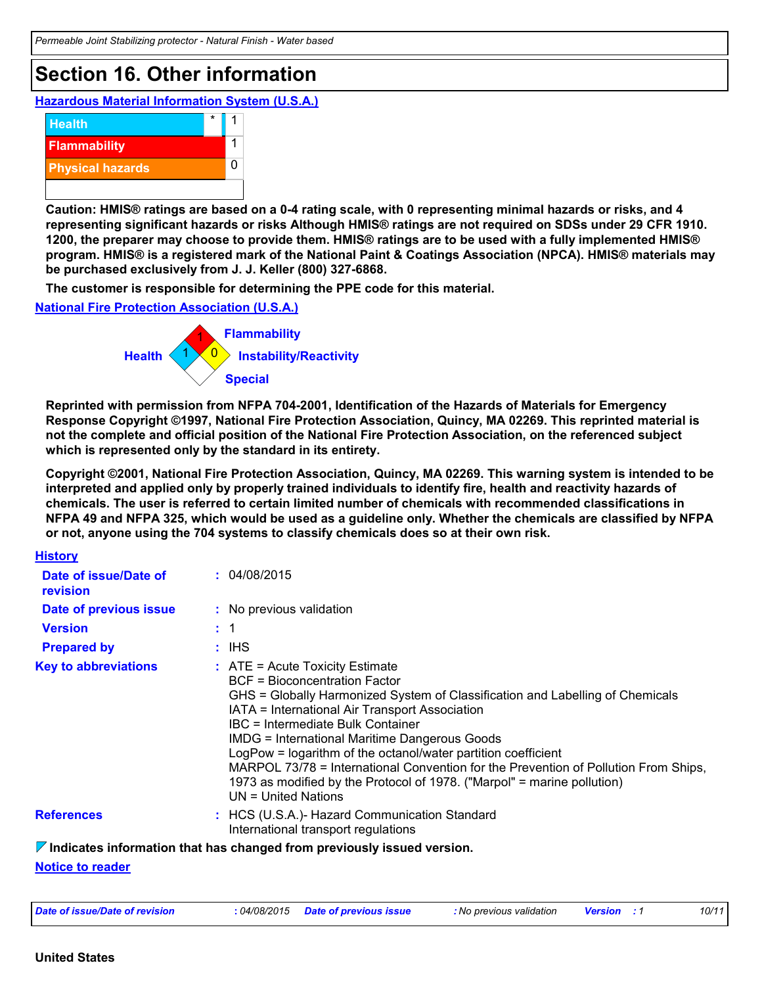### **Section 16. Other information**

**Hazardous Material Information System (U.S.A.)**



**Caution: HMIS® ratings are based on a 0-4 rating scale, with 0 representing minimal hazards or risks, and 4 representing significant hazards or risks Although HMIS® ratings are not required on SDSs under 29 CFR 1910. 1200, the preparer may choose to provide them. HMIS® ratings are to be used with a fully implemented HMIS® program. HMIS® is a registered mark of the National Paint & Coatings Association (NPCA). HMIS® materials may be purchased exclusively from J. J. Keller (800) 327-6868.**

**The customer is responsible for determining the PPE code for this material.**

**National Fire Protection Association (U.S.A.)**



**Reprinted with permission from NFPA 704-2001, Identification of the Hazards of Materials for Emergency Response Copyright ©1997, National Fire Protection Association, Quincy, MA 02269. This reprinted material is not the complete and official position of the National Fire Protection Association, on the referenced subject which is represented only by the standard in its entirety.**

**Copyright ©2001, National Fire Protection Association, Quincy, MA 02269. This warning system is intended to be interpreted and applied only by properly trained individuals to identify fire, health and reactivity hazards of chemicals. The user is referred to certain limited number of chemicals with recommended classifications in NFPA 49 and NFPA 325, which would be used as a guideline only. Whether the chemicals are classified by NFPA or not, anyone using the 704 systems to classify chemicals does so at their own risk.**

| <b>History</b>                    |                                                                                                                                                                                                                                                                                                                                                                                                                                                                                                                                                                                |
|-----------------------------------|--------------------------------------------------------------------------------------------------------------------------------------------------------------------------------------------------------------------------------------------------------------------------------------------------------------------------------------------------------------------------------------------------------------------------------------------------------------------------------------------------------------------------------------------------------------------------------|
| Date of issue/Date of<br>revision | : 04/08/2015                                                                                                                                                                                                                                                                                                                                                                                                                                                                                                                                                                   |
| Date of previous issue            | : No previous validation                                                                                                                                                                                                                                                                                                                                                                                                                                                                                                                                                       |
| <b>Version</b>                    | $\pm$ 1                                                                                                                                                                                                                                                                                                                                                                                                                                                                                                                                                                        |
| <b>Prepared by</b>                | : IHS                                                                                                                                                                                                                                                                                                                                                                                                                                                                                                                                                                          |
| <b>Key to abbreviations</b>       | $\therefore$ ATE = Acute Toxicity Estimate<br><b>BCF</b> = Bioconcentration Factor<br>GHS = Globally Harmonized System of Classification and Labelling of Chemicals<br>IATA = International Air Transport Association<br>IBC = Intermediate Bulk Container<br><b>IMDG = International Maritime Dangerous Goods</b><br>LogPow = logarithm of the octanol/water partition coefficient<br>MARPOL 73/78 = International Convention for the Prevention of Pollution From Ships,<br>1973 as modified by the Protocol of 1978. ("Marpol" = marine pollution)<br>$UN = United Nations$ |
| <b>References</b>                 | : HCS (U.S.A.)- Hazard Communication Standard<br>International transport regulations                                                                                                                                                                                                                                                                                                                                                                                                                                                                                           |
|                                   | $\triangledown$ Indicates information that has changed from previously issued version.                                                                                                                                                                                                                                                                                                                                                                                                                                                                                         |

**Notice to reader**

| Date of issue/Date of revision<br>.04/08/2015 | <b>Date of previous issue</b> | : No previous validation | <b>Versior</b> | 10/11 |
|-----------------------------------------------|-------------------------------|--------------------------|----------------|-------|
|-----------------------------------------------|-------------------------------|--------------------------|----------------|-------|